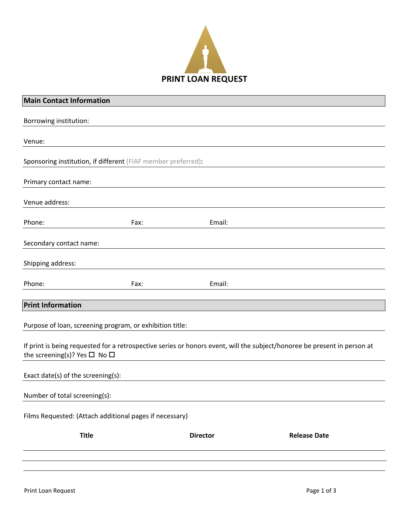

| <b>Main Contact Information</b>              |                                                               |                 |                                                                                                                          |
|----------------------------------------------|---------------------------------------------------------------|-----------------|--------------------------------------------------------------------------------------------------------------------------|
| Borrowing institution:                       |                                                               |                 |                                                                                                                          |
|                                              |                                                               |                 |                                                                                                                          |
| Venue:                                       |                                                               |                 |                                                                                                                          |
|                                              | Sponsoring institution, if different (FIAF member preferred): |                 |                                                                                                                          |
| Primary contact name:                        |                                                               |                 |                                                                                                                          |
| Venue address:                               |                                                               |                 |                                                                                                                          |
| Phone:                                       | Fax:                                                          | Email:          |                                                                                                                          |
| Secondary contact name:                      |                                                               |                 |                                                                                                                          |
| Shipping address:                            |                                                               |                 |                                                                                                                          |
| Phone:                                       | Fax:                                                          | Email:          |                                                                                                                          |
| <b>Print Information</b>                     |                                                               |                 |                                                                                                                          |
|                                              | Purpose of loan, screening program, or exhibition title:      |                 |                                                                                                                          |
| the screening(s)? Yes $\square$ No $\square$ |                                                               |                 | If print is being requested for a retrospective series or honors event, will the subject/honoree be present in person at |
| Exact date(s) of the screening(s):           |                                                               |                 |                                                                                                                          |
| Number of total screening(s):                |                                                               |                 |                                                                                                                          |
|                                              | Films Requested: (Attach additional pages if necessary)       |                 |                                                                                                                          |
|                                              | <b>Title</b>                                                  | <b>Director</b> | <b>Release Date</b>                                                                                                      |
|                                              |                                                               |                 |                                                                                                                          |
|                                              |                                                               |                 |                                                                                                                          |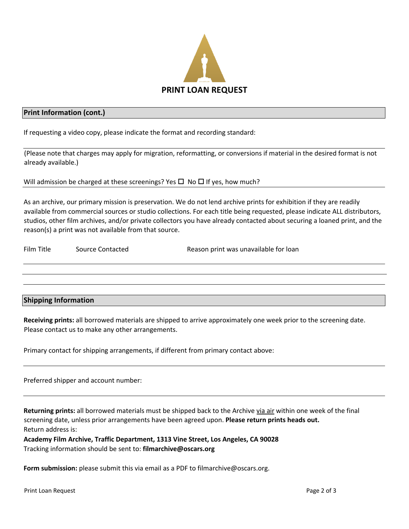

## **Print Information (cont.)**

If requesting a video copy, please indicate the format and recording standard:

(Please note that charges may apply for migration, reformatting, or conversions if material in the desired format is not already available.)

Will admission be charged at these screenings? Yes  $\Box$  No  $\Box$  If yes, how much?

As an archive, our primary mission is preservation. We do not lend archive prints for exhibition if they are readily available from commercial sources or studio collections. For each title being requested, please indicate ALL distributors, studios, other film archives, and/or private collectors you have already contacted about securing a loaned print, and the reason(s) a print was not available from that source.

Film Title Source Contacted Reason print was unavailable for loan

## **Shipping Information**

**Receiving prints:** all borrowed materials are shipped to arrive approximately one week prior to the screening date. Please contact us to make any other arrangements.

Primary contact for shipping arrangements, if different from primary contact above:

Preferred shipper and account number:

**Returning prints:** all borrowed materials must be shipped back to the Archive via air within one week of the final screening date, unless prior arrangements have been agreed upon. **Please return prints heads out.** Return address is:

**Academy Film Archive, Traffic Department, 1313 Vine Street, Los Angeles, CA 90028** Tracking information should be sent to: **filmarchive@oscars.org**

**Form submission:** please submit this via email as a PDF to filmarchive@oscars.org.